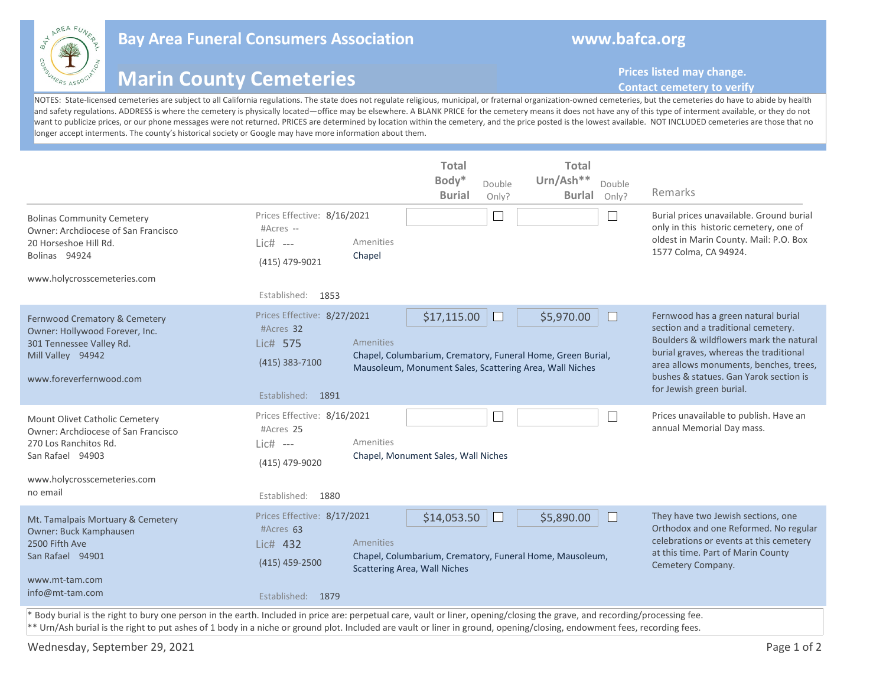

## **Bay Area Funeral Consumers Association www.bafca.org**

## **Marin County Cemeteries**

**Prices listed may change.** 

## **Contact cemetery to verify**

NOTES: State-licensed cemeteries are subject to all California regulations. The state does not regulate religious, municipal, or fraternal organization-owned cemeteries, but the cemeteries do have to abide by health and safety regulations. ADDRESS is where the cemetery is physically located—office may be elsewhere. A BLANK PRICE for the cemetery means it does not have any of this type of interment available, or they do not want to publicize prices, or our phone messages were not returned. PRICES are determined by location within the cemetery, and the price posted is the lowest available. NOT INCLUDED cemeteries are those that no longer accept interments. The county's historical society or Google may have more information about them.

| <b>Bolinas Community Cemetery</b><br>Owner: Archdiocese of San Francisco<br>20 Horseshoe Hill Rd.<br>Bolinas 94924<br>www.holycrosscemeteries.com                           | Prices Effective: 8/16/2021<br>$#Acres -$<br>$Lic#$ ---<br>(415) 479-9021                        | Amenities<br>Chapel                              | <b>Total</b><br>Body*<br><b>Burial</b> | Double<br>Only? | <b>Total</b><br>Urn/Ash**<br><b>Burlal</b>                                                                                           | Double<br>Only?          | Remarks<br>Burial prices unavailable. Ground burial<br>only in this historic cemetery, one of<br>oldest in Marin County. Mail: P.O. Box<br>1577 Colma, CA 94924.                                                                                                                |
|-----------------------------------------------------------------------------------------------------------------------------------------------------------------------------|--------------------------------------------------------------------------------------------------|--------------------------------------------------|----------------------------------------|-----------------|--------------------------------------------------------------------------------------------------------------------------------------|--------------------------|---------------------------------------------------------------------------------------------------------------------------------------------------------------------------------------------------------------------------------------------------------------------------------|
|                                                                                                                                                                             | Established: 1853                                                                                |                                                  |                                        |                 |                                                                                                                                      |                          |                                                                                                                                                                                                                                                                                 |
| Fernwood Crematory & Cemetery<br>Owner: Hollywood Forever, Inc.<br>301 Tennessee Valley Rd.<br>Mill Valley 94942<br>www.foreverfernwood.com                                 | Prices Effective: 8/27/2021<br>#Acres 32<br>Lic# 575<br>$(415)$ 383-7100<br>Established: 1891    | Amenities                                        | \$17,115.00                            |                 | \$5,970.00<br>Chapel, Columbarium, Crematory, Funeral Home, Green Burial,<br>Mausoleum, Monument Sales, Scattering Area, Wall Niches |                          | Fernwood has a green natural burial<br>section and a traditional cemetery.<br>Boulders & wildflowers mark the natural<br>burial graves, whereas the traditional<br>area allows monuments, benches, trees,<br>bushes & statues. Gan Yarok section is<br>for Jewish green burial. |
| Mount Olivet Catholic Cemetery<br>Owner: Archdiocese of San Francisco<br>270 Los Ranchitos Rd.<br>San Rafael 94903<br>www.holycrosscemeteries.com<br>no email               | Prices Effective: 8/16/2021<br>#Acres 25<br>$Lie#$ ---<br>(415) 479-9020<br>Established:<br>1880 | Amenities                                        | Chapel, Monument Sales, Wall Niches    | $\sqcup$        |                                                                                                                                      | $\overline{\phantom{a}}$ | Prices unavailable to publish. Have an<br>annual Memorial Day mass.                                                                                                                                                                                                             |
| Mt. Tamalpais Mortuary & Cemetery<br>Owner: Buck Kamphausen<br>2500 Fifth Ave<br>San Rafael 94901<br>www.mt-tam.com<br>info@mt-tam.com                                      | Prices Effective: 8/17/2021<br>#Acres 63<br>Lic# 432<br>$(415)$ 459-2500<br>Established: 1879    | Amenities<br><b>Scattering Area, Wall Niches</b> | \$14,053.50                            |                 | \$5,890.00<br>Chapel, Columbarium, Crematory, Funeral Home, Mausoleum,                                                               |                          | They have two Jewish sections, one<br>Orthodox and one Reformed. No regular<br>celebrations or events at this cemetery<br>at this time. Part of Marin County<br>Cemetery Company.                                                                                               |
| * Body burial is the right to bury one person in the earth. Included in price are: perpetual care, vault or liner, opening/closing the grave, and recording/processing fee. |                                                                                                  |                                                  |                                        |                 |                                                                                                                                      |                          |                                                                                                                                                                                                                                                                                 |

\*\* Urn/Ash burial is the right to put ashes of 1 body in a niche or ground plot. Included are vault or liner in ground, opening/closing, endowment fees, recording fees.